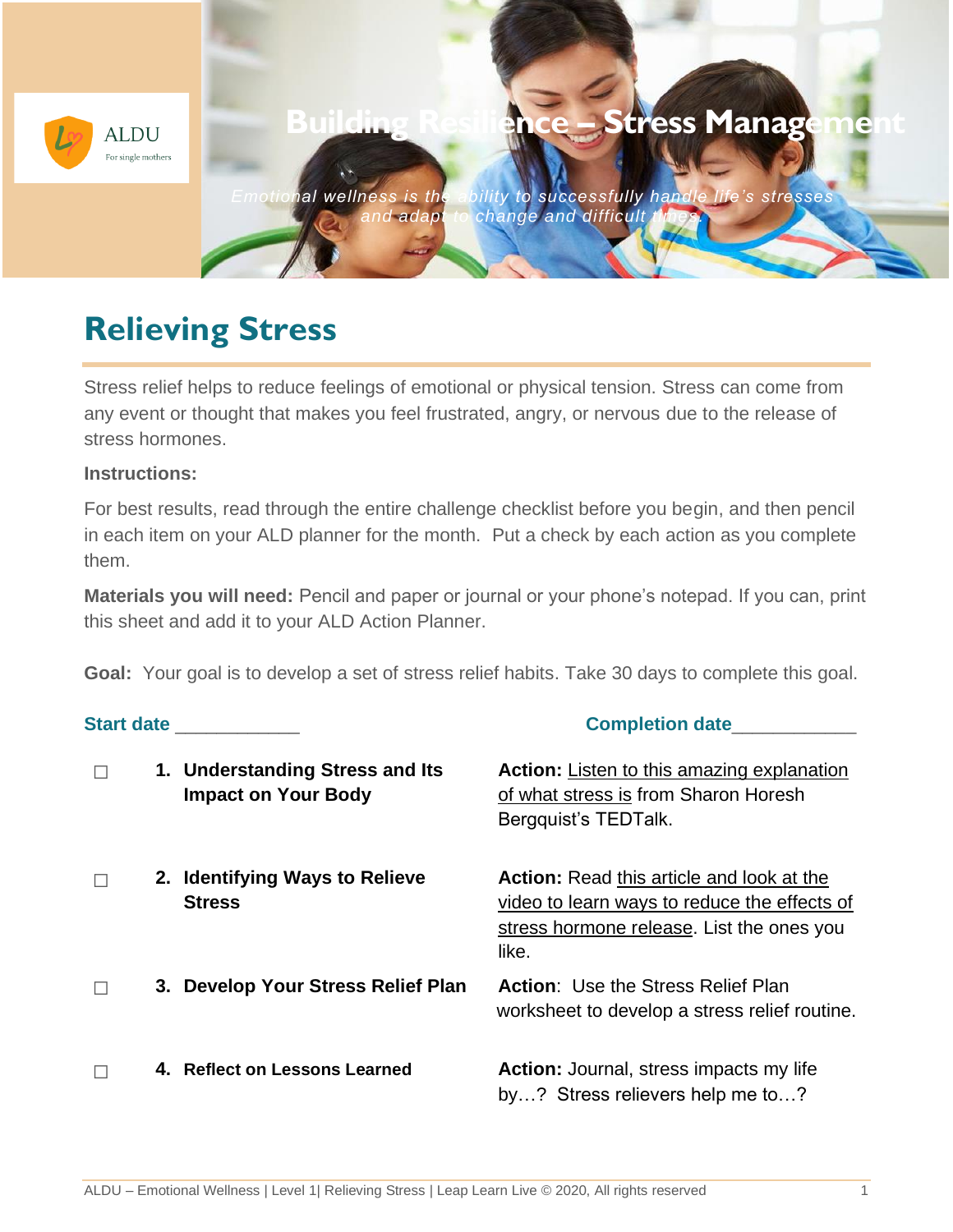

# **Relieving Stress**

Stress relief helps to reduce feelings of emotional or physical tension. Stress can come from any event or thought that makes you feel frustrated, angry, or nervous due to the release of stress hormones.

## **Instructions:**

For best results, read through the entire challenge checklist before you begin, and then pencil in each item on your ALD planner for the month. Put a check by each action as you complete them.

**Materials you will need:** Pencil and paper or journal or your phone's notepad. If you can, print this sheet and add it to your ALD Action Planner.

**Goal:** Your goal is to develop a set of stress relief habits. Take 30 days to complete this goal.

**Start date** \_\_\_\_\_\_\_\_\_\_\_\_ **Completion date**\_\_\_\_\_\_\_\_\_\_\_\_

| 1. Understanding Stress and Its<br><b>Impact on Your Body</b> | <b>Action:</b> Listen to this amazing explanation<br>of what stress is from Sharon Horesh<br>Bergquist's TEDTalk.                                      |
|---------------------------------------------------------------|--------------------------------------------------------------------------------------------------------------------------------------------------------|
| 2. Identifying Ways to Relieve<br><b>Stress</b>               | <b>Action:</b> Read this article and look at the<br>video to learn ways to reduce the effects of<br>stress hormone release. List the ones you<br>like. |
| 3. Develop Your Stress Relief Plan                            | <b>Action: Use the Stress Relief Plan</b><br>worksheet to develop a stress relief routine.                                                             |
| 4. Reflect on Lessons Learned                                 | Action: Journal, stress impacts my life<br>by? Stress relievers help me to?                                                                            |